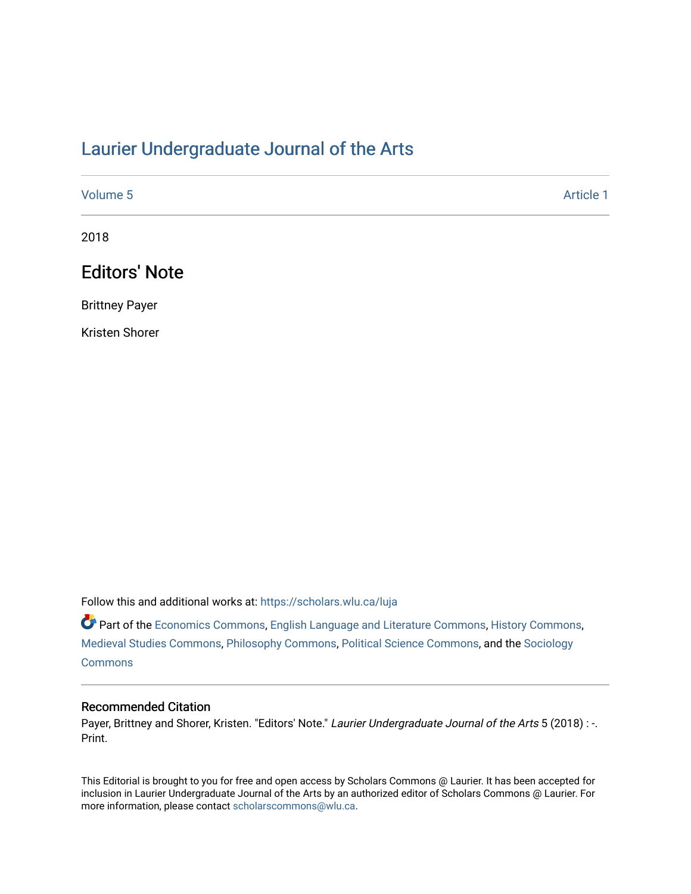## [Laurier Undergraduate Journal of the Arts](https://scholars.wlu.ca/luja)

| Volume 5 | Article 1 |
|----------|-----------|
|          |           |

2018

# Editors' Note

Brittney Payer

Kristen Shorer

Follow this and additional works at: [https://scholars.wlu.ca/luja](https://scholars.wlu.ca/luja?utm_source=scholars.wlu.ca%2Fluja%2Fvol5%2Fiss1%2F1&utm_medium=PDF&utm_campaign=PDFCoverPages) 

Part of the [Economics Commons](http://network.bepress.com/hgg/discipline/340?utm_source=scholars.wlu.ca%2Fluja%2Fvol5%2Fiss1%2F1&utm_medium=PDF&utm_campaign=PDFCoverPages), [English Language and Literature Commons,](http://network.bepress.com/hgg/discipline/455?utm_source=scholars.wlu.ca%2Fluja%2Fvol5%2Fiss1%2F1&utm_medium=PDF&utm_campaign=PDFCoverPages) [History Commons,](http://network.bepress.com/hgg/discipline/489?utm_source=scholars.wlu.ca%2Fluja%2Fvol5%2Fiss1%2F1&utm_medium=PDF&utm_campaign=PDFCoverPages) [Medieval Studies Commons](http://network.bepress.com/hgg/discipline/480?utm_source=scholars.wlu.ca%2Fluja%2Fvol5%2Fiss1%2F1&utm_medium=PDF&utm_campaign=PDFCoverPages), [Philosophy Commons](http://network.bepress.com/hgg/discipline/525?utm_source=scholars.wlu.ca%2Fluja%2Fvol5%2Fiss1%2F1&utm_medium=PDF&utm_campaign=PDFCoverPages), [Political Science Commons](http://network.bepress.com/hgg/discipline/386?utm_source=scholars.wlu.ca%2Fluja%2Fvol5%2Fiss1%2F1&utm_medium=PDF&utm_campaign=PDFCoverPages), and the [Sociology](http://network.bepress.com/hgg/discipline/416?utm_source=scholars.wlu.ca%2Fluja%2Fvol5%2Fiss1%2F1&utm_medium=PDF&utm_campaign=PDFCoverPages)  **[Commons](http://network.bepress.com/hgg/discipline/416?utm_source=scholars.wlu.ca%2Fluja%2Fvol5%2Fiss1%2F1&utm_medium=PDF&utm_campaign=PDFCoverPages)** 

#### Recommended Citation

Payer, Brittney and Shorer, Kristen. "Editors' Note." Laurier Undergraduate Journal of the Arts 5 (2018) : -. Print.

This Editorial is brought to you for free and open access by Scholars Commons @ Laurier. It has been accepted for inclusion in Laurier Undergraduate Journal of the Arts by an authorized editor of Scholars Commons @ Laurier. For more information, please contact [scholarscommons@wlu.ca](mailto:scholarscommons@wlu.ca).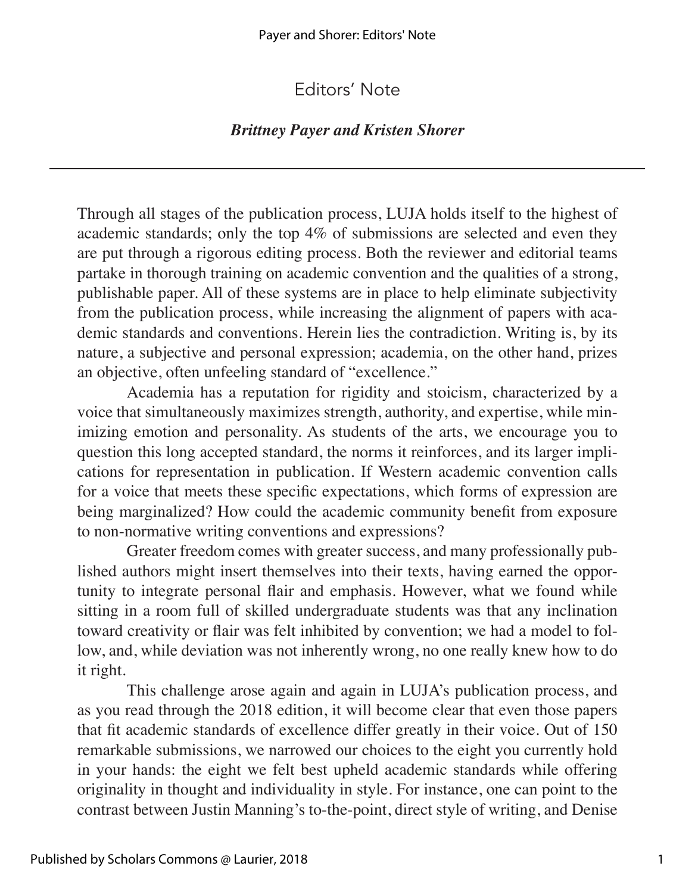## Editors' Note

### *Brittney Payer and Kristen Shorer*

Through all stages of the publication process, LUJA holds itself to the highest of academic standards; only the top 4% of submissions are selected and even they are put through a rigorous editing process. Both the reviewer and editorial teams partake in thorough training on academic convention and the qualities of a strong, publishable paper. All of these systems are in place to help eliminate subjectivity from the publication process, while increasing the alignment of papers with academic standards and conventions. Herein lies the contradiction. Writing is, by its nature, a subjective and personal expression; academia, on the other hand, prizes an objective, often unfeeling standard of "excellence."

Academia has a reputation for rigidity and stoicism, characterized by a voice that simultaneously maximizes strength, authority, and expertise, while minimizing emotion and personality. As students of the arts, we encourage you to question this long accepted standard, the norms it reinforces, and its larger implications for representation in publication. If Western academic convention calls for a voice that meets these specific expectations, which forms of expression are being marginalized? How could the academic community benefit from exposure to non-normative writing conventions and expressions?

Greater freedom comes with greater success, and many professionally published authors might insert themselves into their texts, having earned the opportunity to integrate personal flair and emphasis. However, what we found while sitting in a room full of skilled undergraduate students was that any inclination toward creativity or flair was felt inhibited by convention; we had a model to follow, and, while deviation was not inherently wrong, no one really knew how to do it right.

This challenge arose again and again in LUJA's publication process, and as you read through the 2018 edition, it will become clear that even those papers that fit academic standards of excellence differ greatly in their voice. Out of 150 remarkable submissions, we narrowed our choices to the eight you currently hold in your hands: the eight we felt best upheld academic standards while offering originality in thought and individuality in style. For instance, one can point to the contrast between Justin Manning's to-the-point, direct style of writing, and Denise